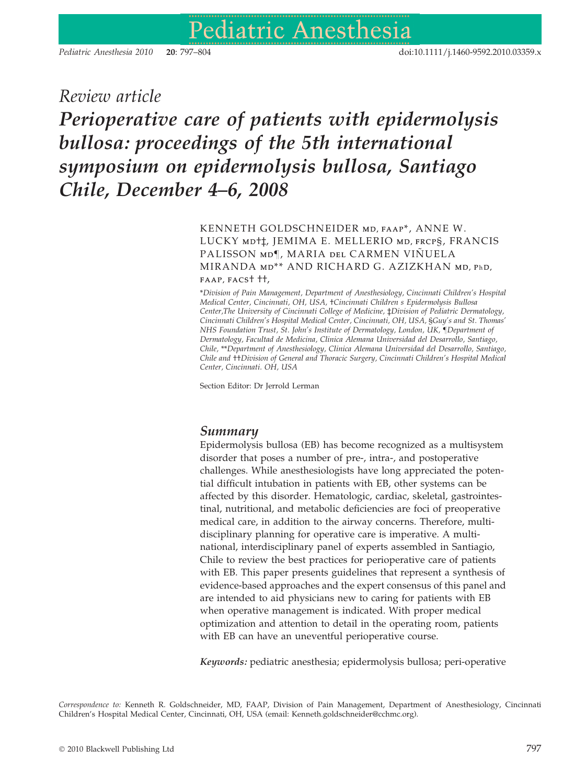Pediatric Anesthesia 2010 20: 797-804 doi:10.1111/j.1460-9592.2010.03359.x

# Review article Perioperative care of patients with epidermolysis bullosa: proceedings of the 5th international symposium on epidermolysis bullosa, Santiago Chile, December 4–6, 2008

KENNETH GOLDSCHNEIDER MD, FAAP\*, ANNE W. LUCKY MD<sup>+</sup>1, JEMIMA E. MELLERIO MD, FRCPS, FRANCIS PALISSON MD¶, MARIA DEL CARMEN VIÑUELA MIRANDA MD<sup>\*\*</sup> AND RICHARD G. AZIZKHAN MD, PhD, FAAP, FACS<sup>+</sup> <sup>+</sup>+,

\*Division of Pain Management, Department of Anesthesiology, Cincinnati Children's Hospital Medical Center, Cincinnati, OH, USA, †Cincinnati Children s Epidermolysis Bullosa Center,The University of Cincinnati College of Medicine, ‡Division of Pediatric Dermatology, Cincinnati Children's Hospital Medical Center, Cincinnati, OH, USA, §Guy's and St. Thomas' NHS Foundation Trust, St. John's Institute of Dermatology, London, UK, IDepartment of Dermatology, Facultad de Medicina, Clinica Alemana Universidad del Desarrollo, Santiago, Chile, \*\*Department of Anesthesiology, Clinica Alemana Universidad del Desarrollo, Santiago, Chile and ††Division of General and Thoracic Surgery, Cincinnati Children's Hospital Medical Center, Cincinnati. OH, USA

Section Editor: Dr Jerrold Lerman

## Summary

Epidermolysis bullosa (EB) has become recognized as a multisystem disorder that poses a number of pre-, intra-, and postoperative challenges. While anesthesiologists have long appreciated the potential difficult intubation in patients with EB, other systems can be affected by this disorder. Hematologic, cardiac, skeletal, gastrointestinal, nutritional, and metabolic deficiencies are foci of preoperative medical care, in addition to the airway concerns. Therefore, multidisciplinary planning for operative care is imperative. A multinational, interdisciplinary panel of experts assembled in Santiagio, Chile to review the best practices for perioperative care of patients with EB. This paper presents guidelines that represent a synthesis of evidence-based approaches and the expert consensus of this panel and are intended to aid physicians new to caring for patients with EB when operative management is indicated. With proper medical optimization and attention to detail in the operating room, patients with EB can have an uneventful perioperative course.

Keywords: pediatric anesthesia; epidermolysis bullosa; peri-operative

Correspondence to: Kenneth R. Goldschneider, MD, FAAP, Division of Pain Management, Department of Anesthesiology, Cincinnati Children's Hospital Medical Center, Cincinnati, OH, USA (email: Kenneth.goldschneider@cchmc.org).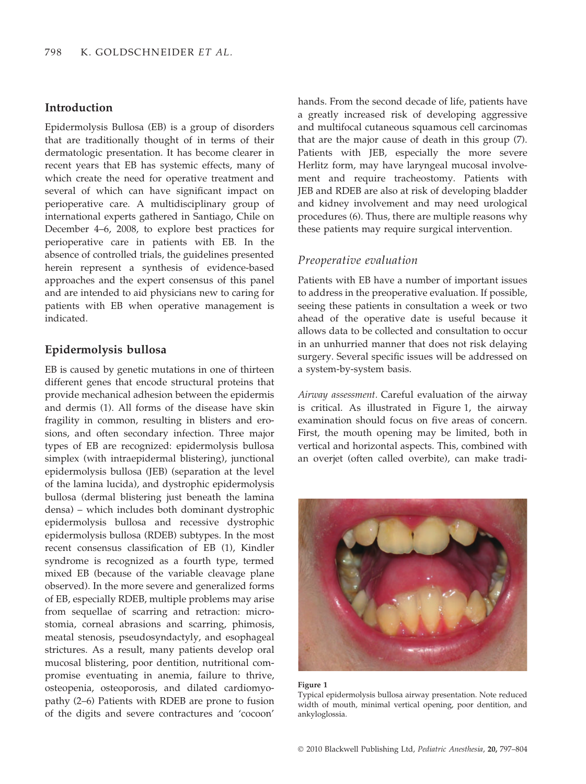## Introduction

Epidermolysis Bullosa (EB) is a group of disorders that are traditionally thought of in terms of their dermatologic presentation. It has become clearer in recent years that EB has systemic effects, many of which create the need for operative treatment and several of which can have significant impact on perioperative care. A multidisciplinary group of international experts gathered in Santiago, Chile on December 4–6, 2008, to explore best practices for perioperative care in patients with EB. In the absence of controlled trials, the guidelines presented herein represent a synthesis of evidence-based approaches and the expert consensus of this panel and are intended to aid physicians new to caring for patients with EB when operative management is indicated.

## Epidermolysis bullosa

EB is caused by genetic mutations in one of thirteen different genes that encode structural proteins that provide mechanical adhesion between the epidermis and dermis (1). All forms of the disease have skin fragility in common, resulting in blisters and erosions, and often secondary infection. Three major types of EB are recognized: epidermolysis bullosa simplex (with intraepidermal blistering), junctional epidermolysis bullosa (JEB) (separation at the level of the lamina lucida), and dystrophic epidermolysis bullosa (dermal blistering just beneath the lamina densa) – which includes both dominant dystrophic epidermolysis bullosa and recessive dystrophic epidermolysis bullosa (RDEB) subtypes. In the most recent consensus classification of EB (1), Kindler syndrome is recognized as a fourth type, termed mixed EB (because of the variable cleavage plane observed). In the more severe and generalized forms of EB, especially RDEB, multiple problems may arise from sequellae of scarring and retraction: microstomia, corneal abrasions and scarring, phimosis, meatal stenosis, pseudosyndactyly, and esophageal strictures. As a result, many patients develop oral mucosal blistering, poor dentition, nutritional compromise eventuating in anemia, failure to thrive, osteopenia, osteoporosis, and dilated cardiomyopathy (2–6) Patients with RDEB are prone to fusion of the digits and severe contractures and 'cocoon'

hands. From the second decade of life, patients have a greatly increased risk of developing aggressive and multifocal cutaneous squamous cell carcinomas that are the major cause of death in this group (7). Patients with JEB, especially the more severe Herlitz form, may have laryngeal mucosal involvement and require tracheostomy. Patients with JEB and RDEB are also at risk of developing bladder and kidney involvement and may need urological procedures (6). Thus, there are multiple reasons why these patients may require surgical intervention.

## Preoperative evaluation

Patients with EB have a number of important issues to address in the preoperative evaluation. If possible, seeing these patients in consultation a week or two ahead of the operative date is useful because it allows data to be collected and consultation to occur in an unhurried manner that does not risk delaying surgery. Several specific issues will be addressed on a system-by-system basis.

Airway assessment. Careful evaluation of the airway is critical. As illustrated in Figure 1, the airway examination should focus on five areas of concern. First, the mouth opening may be limited, both in vertical and horizontal aspects. This, combined with an overjet (often called overbite), can make tradi-



#### Figure 1

Typical epidermolysis bullosa airway presentation. Note reduced width of mouth, minimal vertical opening, poor dentition, and ankyloglossia.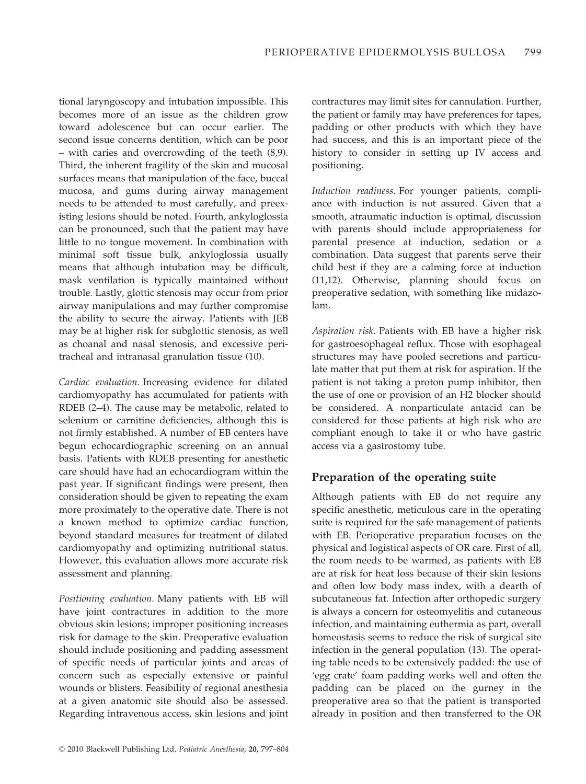tional laryngoscopy and intubation impossible. This becomes more of an issue as the children grow toward adolescence but can occur earlier. The second issue concerns dentition, which can be poor – with caries and overcrowding of the teeth (8,9). Third, the inherent fragility of the skin and mucosal surfaces means that manipulation of the face, buccal mucosa, and gums during airway management needs to be attended to most carefully, and preexisting lesions should be noted. Fourth, ankyloglossia can be pronounced, such that the patient may have little to no tongue movement. In combination with minimal soft tissue bulk, ankyloglossia usually means that although intubation may be difficult, mask ventilation is typically maintained without trouble. Lastly, glottic stenosis may occur from prior airway manipulations and may further compromise the ability to secure the airway. Patients with JEB may be at higher risk for subglottic stenosis, as well as choanal and nasal stenosis, and excessive peritracheal and intranasal granulation tissue (10).

Cardiac evaluation. Increasing evidence for dilated cardiomyopathy has accumulated for patients with RDEB (2–4). The cause may be metabolic, related to selenium or carnitine deficiencies, although this is not firmly established. A number of EB centers have begun echocardiographic screening on an annual basis. Patients with RDEB presenting for anesthetic care should have had an echocardiogram within the past year. If significant findings were present, then consideration should be given to repeating the exam more proximately to the operative date. There is not a known method to optimize cardiac function, beyond standard measures for treatment of dilated cardiomyopathy and optimizing nutritional status. However, this evaluation allows more accurate risk assessment and planning.

Positioning evaluation. Many patients with EB will have joint contractures in addition to the more obvious skin lesions; improper positioning increases risk for damage to the skin. Preoperative evaluation should include positioning and padding assessment of specific needs of particular joints and areas of concern such as especially extensive or painful wounds or blisters. Feasibility of regional anesthesia at a given anatomic site should also be assessed. Regarding intravenous access, skin lesions and joint

contractures may limit sites for cannulation. Further, the patient or family may have preferences for tapes, padding or other products with which they have had success, and this is an important piece of the history to consider in setting up IV access and positioning.

Induction readiness. For younger patients, compliance with induction is not assured. Given that a smooth, atraumatic induction is optimal, discussion with parents should include appropriateness for parental presence at induction, sedation or a combination. Data suggest that parents serve their child best if they are a calming force at induction (11,12). Otherwise, planning should focus on preoperative sedation, with something like midazolam.

Aspiration risk. Patients with EB have a higher risk for gastroesophageal reflux. Those with esophageal structures may have pooled secretions and particulate matter that put them at risk for aspiration. If the patient is not taking a proton pump inhibitor, then the use of one or provision of an H2 blocker should be considered. A nonparticulate antacid can be considered for those patients at high risk who are compliant enough to take it or who have gastric access via a gastrostomy tube.

# Preparation of the operating suite

Although patients with EB do not require any specific anesthetic, meticulous care in the operating suite is required for the safe management of patients with EB. Perioperative preparation focuses on the physical and logistical aspects of OR care. First of all, the room needs to be warmed, as patients with EB are at risk for heat loss because of their skin lesions and often low body mass index, with a dearth of subcutaneous fat. Infection after orthopedic surgery is always a concern for osteomyelitis and cutaneous infection, and maintaining euthermia as part, overall homeostasis seems to reduce the risk of surgical site infection in the general population (13). The operating table needs to be extensively padded: the use of 'egg crate' foam padding works well and often the padding can be placed on the gurney in the preoperative area so that the patient is transported already in position and then transferred to the OR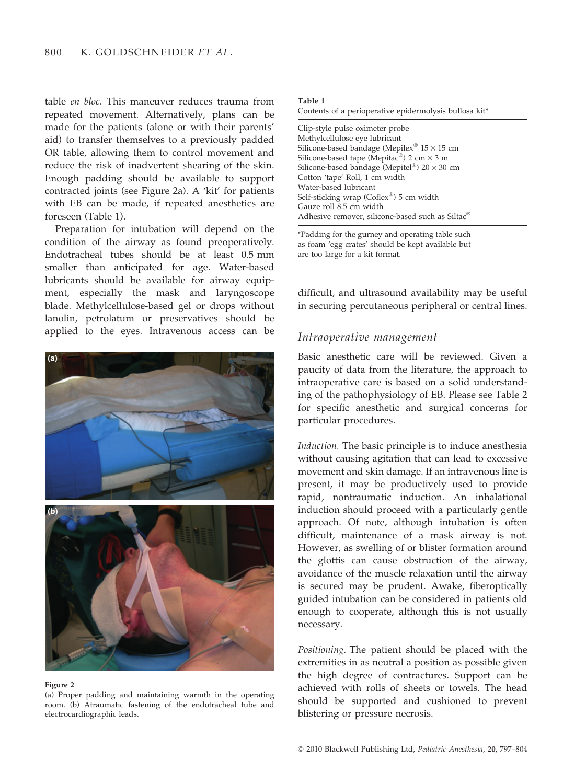table en bloc. This maneuver reduces trauma from repeated movement. Alternatively, plans can be made for the patients (alone or with their parents' aid) to transfer themselves to a previously padded OR table, allowing them to control movement and reduce the risk of inadvertent shearing of the skin. Enough padding should be available to support contracted joints (see Figure 2a). A 'kit' for patients with EB can be made, if repeated anesthetics are foreseen (Table 1).

Preparation for intubation will depend on the condition of the airway as found preoperatively. Endotracheal tubes should be at least 0.5 mm smaller than anticipated for age. Water-based lubricants should be available for airway equipment, especially the mask and laryngoscope blade. Methylcellulose-based gel or drops without lanolin, petrolatum or preservatives should be applied to the eyes. Intravenous access can be



#### Figure 2

(a) Proper padding and maintaining warmth in the operating room. (b) Atraumatic fastening of the endotracheal tube and electrocardiographic leads.

## Table 1

|  |  |  |  |  | Contents of a perioperative epidermolysis bullosa kit* |  |  |  |  |  |
|--|--|--|--|--|--------------------------------------------------------|--|--|--|--|--|
|--|--|--|--|--|--------------------------------------------------------|--|--|--|--|--|

| Clip-style pulse oximeter probe                               |
|---------------------------------------------------------------|
| Methylcellulose eye lubricant                                 |
| Silicone-based bandage (Mepilex® $15 \times 15$ cm            |
| Silicone-based tape (Mepitac <sup>®</sup> ) 2 cm $\times$ 3 m |
| Silicone-based bandage (Mepitel®) $20 \times 30$ cm           |
| Cotton 'tape' Roll, 1 cm width                                |
| Water-based lubricant                                         |
| Self-sticking wrap (Coflex®) 5 cm width                       |
| Gauze roll 8.5 cm width                                       |
| Adhesive remover, silicone-based such as Siltac <sup>®</sup>  |
|                                                               |

\*Padding for the gurney and operating table such as foam 'egg crates' should be kept available but are too large for a kit format.

difficult, and ultrasound availability may be useful in securing percutaneous peripheral or central lines.

### Intraoperative management

Basic anesthetic care will be reviewed. Given a paucity of data from the literature, the approach to intraoperative care is based on a solid understanding of the pathophysiology of EB. Please see Table 2 for specific anesthetic and surgical concerns for particular procedures.

Induction. The basic principle is to induce anesthesia without causing agitation that can lead to excessive movement and skin damage. If an intravenous line is present, it may be productively used to provide rapid, nontraumatic induction. An inhalational induction should proceed with a particularly gentle approach. Of note, although intubation is often difficult, maintenance of a mask airway is not. However, as swelling of or blister formation around the glottis can cause obstruction of the airway, avoidance of the muscle relaxation until the airway is secured may be prudent. Awake, fiberoptically guided intubation can be considered in patients old enough to cooperate, although this is not usually necessary.

Positioning. The patient should be placed with the extremities in as neutral a position as possible given the high degree of contractures. Support can be achieved with rolls of sheets or towels. The head should be supported and cushioned to prevent blistering or pressure necrosis.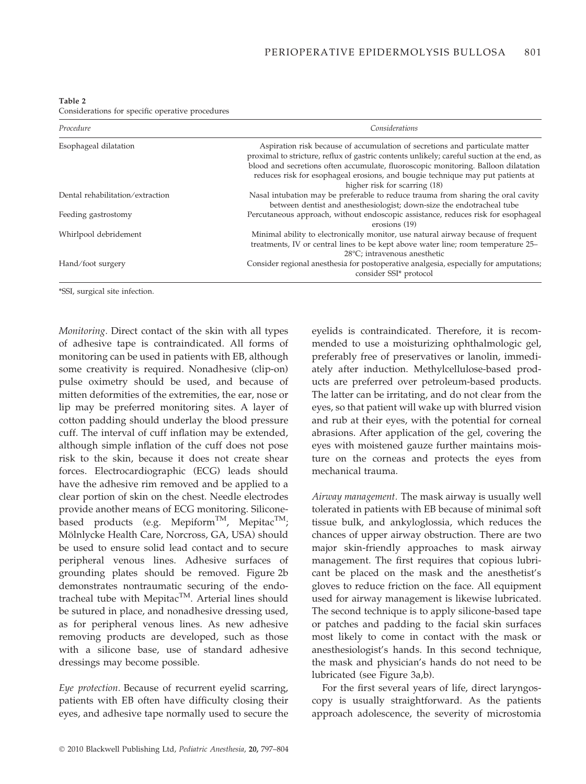| - -<br>۰,<br>۰.<br>×<br>×<br>. . | - - |
|----------------------------------|-----|
|----------------------------------|-----|

Considerations for specific operative procedures

| Procedure                        | Considerations                                                                                                                                                                                         |  |  |  |
|----------------------------------|--------------------------------------------------------------------------------------------------------------------------------------------------------------------------------------------------------|--|--|--|
| Esophageal dilatation            | Aspiration risk because of accumulation of secretions and particulate matter<br>proximal to stricture, reflux of gastric contents unlikely; careful suction at the end, as                             |  |  |  |
|                                  | blood and secretions often accumulate, fluoroscopic monitoring. Balloon dilatation<br>reduces risk for esophageal erosions, and bougie technique may put patients at<br>higher risk for scarring (18)  |  |  |  |
| Dental rehabilitation/extraction | Nasal intubation may be preferable to reduce trauma from sharing the oral cavity<br>between dentist and anesthesiologist; down-size the endotracheal tube                                              |  |  |  |
| Feeding gastrostomy              | Percutaneous approach, without endoscopic assistance, reduces risk for esophageal<br>erosions (19)                                                                                                     |  |  |  |
| Whirlpool debridement            | Minimal ability to electronically monitor, use natural airway because of frequent<br>treatments, IV or central lines to be kept above water line; room temperature 25–<br>28°C; intravenous anesthetic |  |  |  |
| Hand/foot surgery                | Consider regional anesthesia for postoperative analgesia, especially for amputations;<br>consider SSI* protocol                                                                                        |  |  |  |

\*SSI, surgical site infection.

Monitoring. Direct contact of the skin with all types of adhesive tape is contraindicated. All forms of monitoring can be used in patients with EB, although some creativity is required. Nonadhesive (clip-on) pulse oximetry should be used, and because of mitten deformities of the extremities, the ear, nose or lip may be preferred monitoring sites. A layer of cotton padding should underlay the blood pressure cuff. The interval of cuff inflation may be extended, although simple inflation of the cuff does not pose risk to the skin, because it does not create shear forces. Electrocardiographic (ECG) leads should have the adhesive rim removed and be applied to a clear portion of skin on the chest. Needle electrodes provide another means of ECG monitoring. Siliconebased products (e.g. Mepiform<sup>TM</sup>, Mepitac<sup>TM</sup>; Mölnlycke Health Care, Norcross, GA, USA) should be used to ensure solid lead contact and to secure peripheral venous lines. Adhesive surfaces of grounding plates should be removed. Figure 2b demonstrates nontraumatic securing of the endotracheal tube with Mepitac<sup>TM</sup>. Arterial lines should be sutured in place, and nonadhesive dressing used, as for peripheral venous lines. As new adhesive removing products are developed, such as those with a silicone base, use of standard adhesive dressings may become possible.

Eye protection. Because of recurrent eyelid scarring, patients with EB often have difficulty closing their eyes, and adhesive tape normally used to secure the eyelids is contraindicated. Therefore, it is recommended to use a moisturizing ophthalmologic gel, preferably free of preservatives or lanolin, immediately after induction. Methylcellulose-based products are preferred over petroleum-based products. The latter can be irritating, and do not clear from the eyes, so that patient will wake up with blurred vision and rub at their eyes, with the potential for corneal abrasions. After application of the gel, covering the eyes with moistened gauze further maintains moisture on the corneas and protects the eyes from mechanical trauma.

Airway management. The mask airway is usually well tolerated in patients with EB because of minimal soft tissue bulk, and ankyloglossia, which reduces the chances of upper airway obstruction. There are two major skin-friendly approaches to mask airway management. The first requires that copious lubricant be placed on the mask and the anesthetist's gloves to reduce friction on the face. All equipment used for airway management is likewise lubricated. The second technique is to apply silicone-based tape or patches and padding to the facial skin surfaces most likely to come in contact with the mask or anesthesiologist's hands. In this second technique, the mask and physician's hands do not need to be lubricated (see Figure 3a,b).

For the first several years of life, direct laryngoscopy is usually straightforward. As the patients approach adolescence, the severity of microstomia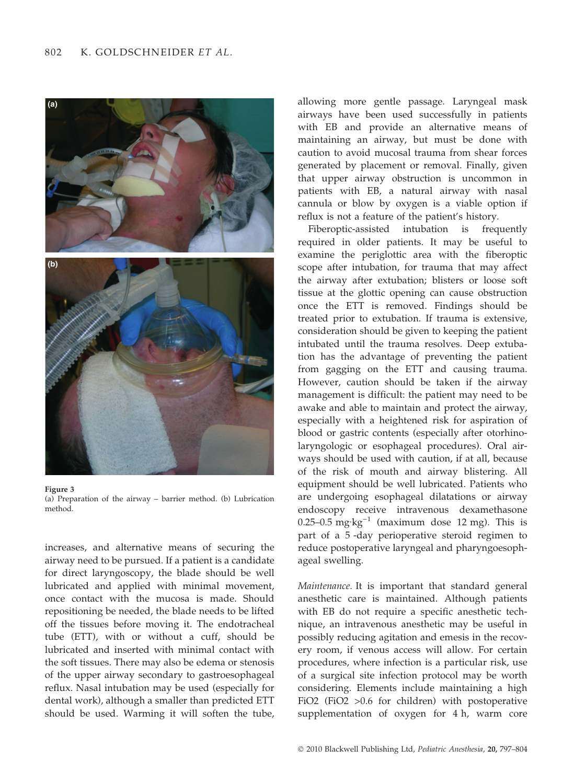

Figure 3 (a) Preparation of the airway – barrier method. (b) Lubrication method.

increases, and alternative means of securing the airway need to be pursued. If a patient is a candidate for direct laryngoscopy, the blade should be well lubricated and applied with minimal movement, once contact with the mucosa is made. Should repositioning be needed, the blade needs to be lifted off the tissues before moving it. The endotracheal tube (ETT), with or without a cuff, should be lubricated and inserted with minimal contact with the soft tissues. There may also be edema or stenosis of the upper airway secondary to gastroesophageal reflux. Nasal intubation may be used (especially for dental work), although a smaller than predicted ETT should be used. Warming it will soften the tube,

allowing more gentle passage. Laryngeal mask airways have been used successfully in patients with EB and provide an alternative means of maintaining an airway, but must be done with caution to avoid mucosal trauma from shear forces generated by placement or removal. Finally, given that upper airway obstruction is uncommon in patients with EB, a natural airway with nasal cannula or blow by oxygen is a viable option if reflux is not a feature of the patient's history.

Fiberoptic-assisted intubation is frequently required in older patients. It may be useful to examine the periglottic area with the fiberoptic scope after intubation, for trauma that may affect the airway after extubation; blisters or loose soft tissue at the glottic opening can cause obstruction once the ETT is removed. Findings should be treated prior to extubation. If trauma is extensive, consideration should be given to keeping the patient intubated until the trauma resolves. Deep extubation has the advantage of preventing the patient from gagging on the ETT and causing trauma. However, caution should be taken if the airway management is difficult: the patient may need to be awake and able to maintain and protect the airway, especially with a heightened risk for aspiration of blood or gastric contents (especially after otorhinolaryngologic or esophageal procedures). Oral airways should be used with caution, if at all, because of the risk of mouth and airway blistering. All equipment should be well lubricated. Patients who are undergoing esophageal dilatations or airway endoscopy receive intravenous dexamethasone 0.25–0.5 mg·kg<sup>-1</sup> (maximum dose 12 mg). This is part of a 5 -day perioperative steroid regimen to reduce postoperative laryngeal and pharyngoesophageal swelling.

Maintenance. It is important that standard general anesthetic care is maintained. Although patients with EB do not require a specific anesthetic technique, an intravenous anesthetic may be useful in possibly reducing agitation and emesis in the recovery room, if venous access will allow. For certain procedures, where infection is a particular risk, use of a surgical site infection protocol may be worth considering. Elements include maintaining a high FiO2 (FiO2 >0.6 for children) with postoperative supplementation of oxygen for 4 h, warm core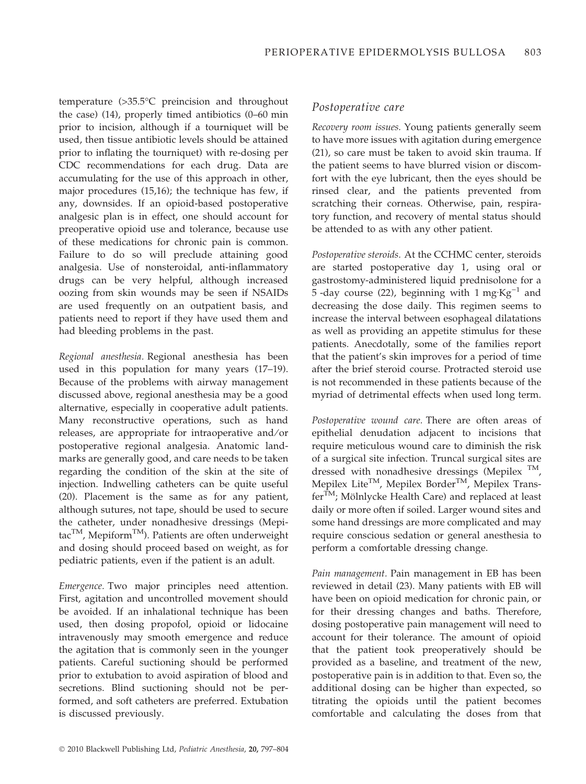temperature (>35.5C preincision and throughout the case) (14), properly timed antibiotics (0–60 min prior to incision, although if a tourniquet will be used, then tissue antibiotic levels should be attained prior to inflating the tourniquet) with re-dosing per CDC recommendations for each drug. Data are accumulating for the use of this approach in other, major procedures (15,16); the technique has few, if any, downsides. If an opioid-based postoperative analgesic plan is in effect, one should account for preoperative opioid use and tolerance, because use of these medications for chronic pain is common. Failure to do so will preclude attaining good analgesia. Use of nonsteroidal, anti-inflammatory drugs can be very helpful, although increased oozing from skin wounds may be seen if NSAIDs are used frequently on an outpatient basis, and patients need to report if they have used them and had bleeding problems in the past.

Regional anesthesia. Regional anesthesia has been used in this population for many years (17–19). Because of the problems with airway management discussed above, regional anesthesia may be a good alternative, especially in cooperative adult patients. Many reconstructive operations, such as hand releases, are appropriate for intraoperative and/or postoperative regional analgesia. Anatomic landmarks are generally good, and care needs to be taken regarding the condition of the skin at the site of injection. Indwelling catheters can be quite useful (20). Placement is the same as for any patient, although sutures, not tape, should be used to secure the catheter, under nonadhesive dressings (Mepi- $\text{tar}^{\text{TM}}$ , Mepiform<sup>TM</sup>). Patients are often underweight and dosing should proceed based on weight, as for pediatric patients, even if the patient is an adult.

Emergence. Two major principles need attention. First, agitation and uncontrolled movement should be avoided. If an inhalational technique has been used, then dosing propofol, opioid or lidocaine intravenously may smooth emergence and reduce the agitation that is commonly seen in the younger patients. Careful suctioning should be performed prior to extubation to avoid aspiration of blood and secretions. Blind suctioning should not be performed, and soft catheters are preferred. Extubation is discussed previously.

## Postoperative care

Recovery room issues. Young patients generally seem to have more issues with agitation during emergence (21), so care must be taken to avoid skin trauma. If the patient seems to have blurred vision or discomfort with the eye lubricant, then the eyes should be rinsed clear, and the patients prevented from scratching their corneas. Otherwise, pain, respiratory function, and recovery of mental status should be attended to as with any other patient.

Postoperative steroids. At the CCHMC center, steroids are started postoperative day 1, using oral or gastrostomy-administered liquid prednisolone for a 5 -day course (22), beginning with 1 mg·Kg<sup>-1</sup> and decreasing the dose daily. This regimen seems to increase the interval between esophageal dilatations as well as providing an appetite stimulus for these patients. Anecdotally, some of the families report that the patient's skin improves for a period of time after the brief steroid course. Protracted steroid use is not recommended in these patients because of the myriad of detrimental effects when used long term.

Postoperative wound care. There are often areas of epithelial denudation adjacent to incisions that require meticulous wound care to diminish the risk of a surgical site infection. Truncal surgical sites are dressed with nonadhesive dressings (Mepilex  $TM$ , Mepilex Lite<sup>TM</sup>, Mepilex Border<sup>TM</sup>, Mepilex Trans $fer^{TM}$ ; Mölnlycke Health Care) and replaced at least daily or more often if soiled. Larger wound sites and some hand dressings are more complicated and may require conscious sedation or general anesthesia to perform a comfortable dressing change.

Pain management. Pain management in EB has been reviewed in detail (23). Many patients with EB will have been on opioid medication for chronic pain, or for their dressing changes and baths. Therefore, dosing postoperative pain management will need to account for their tolerance. The amount of opioid that the patient took preoperatively should be provided as a baseline, and treatment of the new, postoperative pain is in addition to that. Even so, the additional dosing can be higher than expected, so titrating the opioids until the patient becomes comfortable and calculating the doses from that